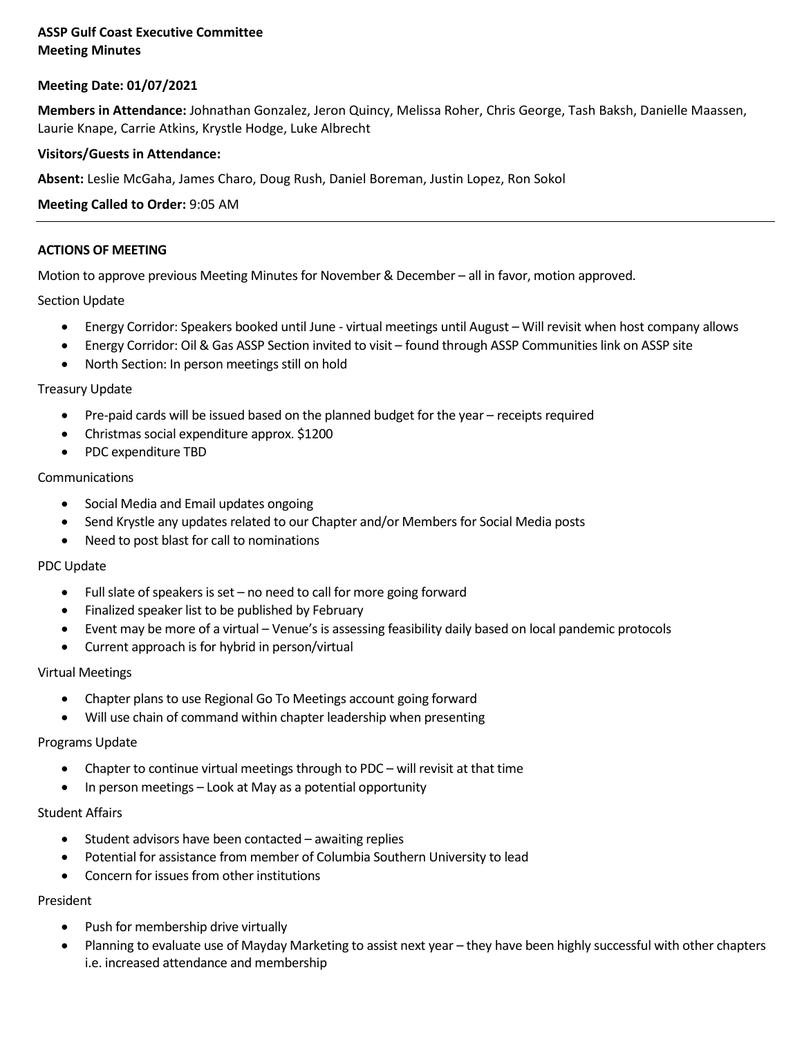# **ASSP Gulf Coast Executive Committee Meeting Minutes**

## **Meeting Date: 01/07/2021**

**Members in Attendance:** Johnathan Gonzalez, Jeron Quincy, Melissa Roher, Chris George, Tash Baksh, Danielle Maassen, Laurie Knape, Carrie Atkins, Krystle Hodge, Luke Albrecht

## **Visitors/Guests in Attendance:**

**Absent:** Leslie McGaha, James Charo, Doug Rush, Daniel Boreman, Justin Lopez, Ron Sokol

### **Meeting Called to Order:** 9:05 AM

### **ACTIONS OF MEETING**

Motion to approve previous Meeting Minutes for November & December – all in favor, motion approved.

### Section Update

- Energy Corridor: Speakers booked until June virtual meetings until August Will revisit when host company allows
- Energy Corridor: Oil & Gas ASSP Section invited to visit found through ASSP Communitieslink on ASSP site
- North Section: In person meetings still on hold

#### Treasury Update

- Pre-paid cards will be issued based on the planned budget for the year receipts required
- Christmas social expenditure approx. \$1200
- PDC expenditure TBD

### Communications

- Social Media and Email updates ongoing
- Send Krystle any updates related to our Chapter and/or Members for Social Media posts
- Need to post blast for call to nominations

#### PDC Update

- Full slate of speakers is set no need to call for more going forward
- Finalized speaker list to be published by February
- Event may be more of a virtual Venue's is assessing feasibility daily based on local pandemic protocols
- Current approach is for hybrid in person/virtual

#### Virtual Meetings

- Chapter plans to use Regional Go To Meetings account going forward
- Will use chain of command within chapter leadership when presenting

#### Programs Update

- Chapter to continue virtual meetings through to PDC will revisit at that time
- In person meetings Look at May as a potential opportunity

#### Student Affairs

- Student advisors have been contacted awaiting replies
- Potential for assistance from member of Columbia Southern University to lead
- Concern for issues from other institutions

## President

- Push for membership drive virtually
- Planning to evaluate use of Mayday Marketing to assist next year they have been highly successful with other chapters i.e. increased attendance and membership